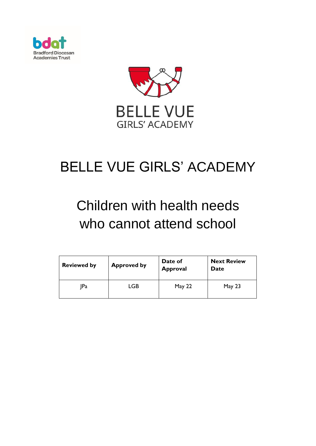



# BELLE VUE GIRLS' ACADEMY

# Children with health needs who cannot attend school

| <b>Reviewed by</b> | <b>Approved by</b> | Date of<br><b>Approval</b> | <b>Next Review</b><br>Date |
|--------------------|--------------------|----------------------------|----------------------------|
| IPa                | LGB                | <b>May 22</b>              | May $23$                   |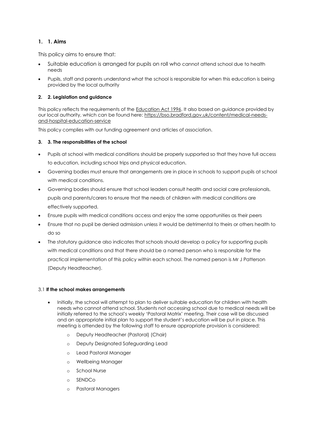## **1. 1. Aims**

This policy aims to ensure that:

- Suitable education is arranged for pupils on roll who cannot attend school due to health needs
- Pupils, staff and parents understand what the school is responsible for when this education is being provided by the local authority

## **2. 2. Legislation and guidance**

This policy reflects the requirements of the [Education Act 1996.](http://www.legislation.gov.uk/ukpga/1996/56/section/19) It also based on guidance provided by our local authority, which can be found here: [https://bso.bradford.gov.uk/content/medical-needs](https://bso.bradford.gov.uk/content/medical-needs-and-hospital-education-service)[and-hospital-education-service](https://bso.bradford.gov.uk/content/medical-needs-and-hospital-education-service)

This policy complies with our funding agreement and articles of association.

### **3. 3. The responsibilities of the school**

- Pupils at school with medical conditions should be properly supported so that they have full access to education, including school trips and physical education.
- Governing bodies must ensure that arrangements are in place in schools to support pupils at school with medical conditions.
- Governing bodies should ensure that school leaders consult health and social care professionals, pupils and parents/carers to ensure that the needs of children with medical conditions are effectively supported.
- Ensure pupils with medical conditions access and enjoy the same opportunities as their peers
- Ensure that no pupil be denied admission unless it would be detrimental to theirs or others health to do so
- The statutory guidance also indicates that schools should develop a policy for supporting pupils with medical conditions and that there should be a named person who is responsible for the practical implementation of this policy within each school. The named person is Mr J Patterson (Deputy Headteacher).

### 3.1 **If the school makes arrangements**

- Initially, the school will attempt to plan to deliver suitable education for children with health needs who cannot attend school. Students not accessing school due to medical needs will be initially referred to the school's weekly 'Pastoral Matrix' meeting. Their case will be discussed and an appropriate initial plan to support the student's education will be put in place. This meeting is attended by the following staff to ensure appropriate provision is considered:
	- o Deputy Headteacher (Pastoral) (Chair)
	- o Deputy Designated Safeguarding Lead
	- o Lead Pastoral Manager
	- o Wellbeing Manager
	- o School Nurse
	- o SENDCo
	- o Pastoral Managers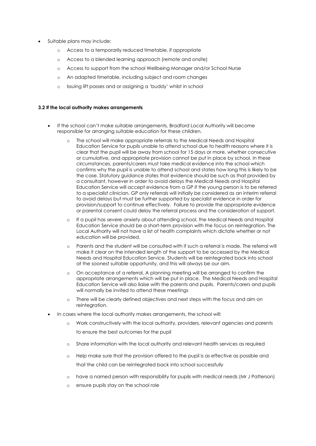- Suitable plans may include:
	- o Access to a temporarily reduced timetable, if appropriate
	- o Access to a blended learning approach (remote and onsite)
	- o Access to support from the school Wellbeing Manager and/or School Nurse
	- o An adapted timetable, including subject and room changes
	- o Issuing lift passes and or assigning a 'buddy' whilst in school

#### **3.2 If the local authority makes arrangements**

- If the school can't make suitable arrangements, Bradford Local Authority will become responsible for arranging suitable education for these children.
	- The school will make appropriate referrals to the Medical Needs and Hospital Education Service for pupils unable to attend school due to health reasons where it is clear that the pupil will be away from school for 15 days or more, whether consecutive or cumulative, and appropriate provision cannot be put in place by school. In these circumstances, parents/carers must take medical evidence into the school which confirms why the pupil is unable to attend school and states how long this is likely to be the case. Statutory guidance states that evidence should be such as that provided by a consultant, however in order to avoid delays the Medical Needs and Hospital Education Service will accept evidence from a GP if the young person is to be referred to a specialist clinician. GP only referrals will initially be considered as an interim referral to avoid delays but must be further supported by specialist evidence in order for provision/support to continue effectively. Failure to provide the appropriate evidence or parental consent could delay the referral process and the consideration of support.
	- o If a pupil has severe anxiety about attending school, the Medical Needs and Hospital Education Service should be a short-term provision with the focus on reintegration. The Local Authority will not have a list of health complaints which dictate whether or not education will be provided.
	- o Parents and the student will be consulted with if such a referral is made. The referral will make it clear on the intended length of the support to be accessed by the Medical Needs and Hospital Education Service. Students will be reintegrated back into school at the soonest suitable opportunity, and this will always be our aim.
	- o On acceptance of a referral, A planning meeting will be arranged to confirm the appropriate arrangements which will be put in place. The Medical Needs and Hospital Education Service will also liaise with the parents and pupils. Parents/carers and pupils will normally be invited to attend these meetings
	- o There will be clearly defined objectives and next steps with the focus and aim on reintegration.
- In cases where the local authority makes arrangements, the school will:
	- o Work constructively with the local authority, providers, relevant agencies and parents to ensure the best outcomes for the pupil
	- o Share information with the local authority and relevant health services as required
	- o Help make sure that the provision offered to the pupil is as effective as possible and that the child can be reintegrated back into school successfully
	- o have a named person with responsibility for pupils with medical needs (Mr J Patterson)
	- o ensure pupils stay on the school role